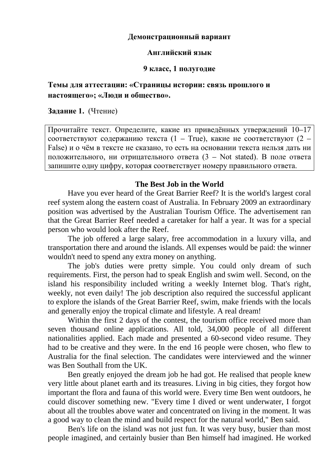### **Демонстрационный вариант**

#### **Английский язык**

### **9 класс, 1 полугодие**

# **Темы для аттестации: «Страницы истории: связь прошлого и настоящего»; «Люди и общество».**

**Задание 1.** (Чтение)

Прочитайте текст. Определите, какие из приведённых утверждений 10–17 соответствуют содержанию текста (1 – True), какие не соответствуют (2 – False) и о чём в тексте не сказано, то есть на основании текста нельзя дать ни положительного, ни отрицательного ответа (3 – Not stated). В поле ответа запишите одну цифру, которая соответствует номеру правильного ответа.

### **The Best Job in the World**

Have you ever heard of the Great Barrier Reef? It is the world's largest coral reef system along the eastern coast of Australia. In February 2009 an extraordinary position was advertised by the Australian Tourism Office. The advertisement ran that the Great Barrier Reef needed a caretaker for half a year. It was for a special person who would look after the Reef.

The job offered a large salary, free accommodation in a luxury villa, and transportation there and around the islands. All expenses would be paid: the winner wouldn't need to spend any extra money on anything.

The job's duties were pretty simple. You could only dream of such requirements. First, the person had to speak English and swim well. Second, on the island his responsibility included writing a weekly Internet blog. That's right, weekly, not even daily! The job description also required the successful applicant to explore the islands of the Great Barrier Reef, swim, make friends with the locals and generally enjoy the tropical climate and lifestyle. A real dream!

Within the first 2 days of the contest, the tourism office received more than seven thousand online applications. All told, 34,000 people of all different nationalities applied. Each made and presented a 60-second video resume. They had to be creative and they were. In the end 16 people were chosen, who flew to Australia for the final selection. The candidates were interviewed and the winner was Ben Southall from the UK.

Ben greatly enjoyed the dream job he had got. He realised that people knew very little about planet earth and its treasures. Living in big cities, they forgot how important the flora and fauna of this world were. Every time Ben went outdoors, he could discover something new. "Every time I dived or went underwater, I forgot about all the troubles above water and concentrated on living in the moment. It was a good way to clean the mind and build respect for the natural world," Ben said.

Ben's life on the island was not just fun. It was very busy, busier than most people imagined, and certainly busier than Ben himself had imagined. He worked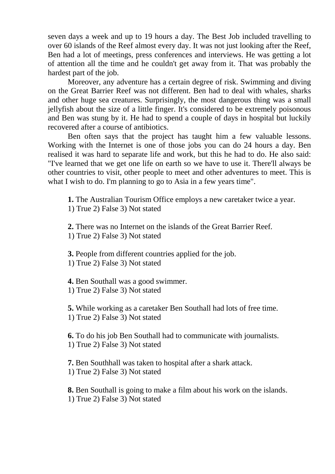seven days a week and up to 19 hours a day. The Best Job included travelling to over 60 islands of the Reef almost every day. It was not just looking after the Reef, Ben had a lot of meetings, press conferences and interviews. He was getting a lot of attention all the time and he couldn't get away from it. That was probably the hardest part of the job.

Moreover, any adventure has a certain degree of risk. Swimming and diving on the Great Barrier Reef was not different. Ben had to deal with whales, sharks and other huge sea creatures. Surprisingly, the most dangerous thing was a small jellyfish about the size of a little finger. It's considered to be extremely poisonous and Ben was stung by it. He had to spend a couple of days in hospital but luckily recovered after a course of antibiotics.

Ben often says that the project has taught him a few valuable lessons. Working with the Internet is one of those jobs you can do 24 hours a day. Ben realised it was hard to separate life and work, but this he had to do. He also said: "I've learned that we get one life on earth so we have to use it. There'll always be other countries to visit, other people to meet and other adventures to meet. This is what I wish to do. I'm planning to go to Asia in a few years time".

**1.** The Australian Tourism Office employs a new caretaker twice a year.

1) True 2) False 3) Not stated

**2.** There was no Internet on the islands of the Great Barrier Reef.

1) True 2) False 3) Not stated

**3.** People from different countries applied for the job. 1) True 2) False 3) Not stated

**4.** Ben Southall was a good swimmer. 1) True 2) False 3) Not stated

**5.** While working as a caretaker Ben Southall had lots of free time. 1) True 2) False 3) Not stated

**6.** To do his job Ben Southall had to communicate with journalists. 1) True 2) False 3) Not stated

**7.** Ben Southhall was taken to hospital after a shark attack. 1) True 2) False 3) Not stated

**8.** Ben Southall is going to make a film about his work on the islands. 1) True 2) False 3) Not stated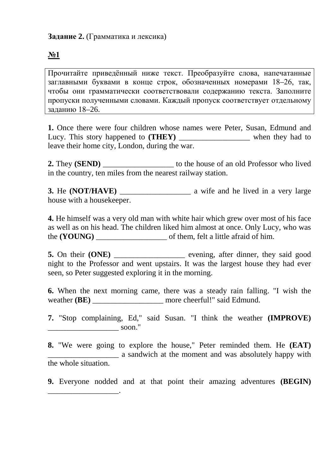# **Задание 2.** (Грамматика и лексика)

\_\_\_\_\_\_\_\_\_\_\_\_\_\_\_\_\_\_.

# **№1**

Прочитайте приведённый ниже текст. Преобразуйте слова, напечатанные заглавными буквами в конце строк, обозначенных номерами 18–26, так, чтобы они грамматически соответствовали содержанию текста. Заполните пропуски полученными словами. Каждый пропуск соответствует отдельному заданию 18–26.

**1.** Once there were four children whose names were Peter, Susan, Edmund and Lucy. This story happened to **(THEY)** when they had to leave their home city, London, during the war.

**2.** They **(SEND)** \_\_\_\_\_\_\_\_\_\_\_\_\_\_\_\_\_\_ to the house of an old Professor who lived in the country, ten miles from the nearest railway station.

**3.** He **(NOT/HAVE)** \_\_\_\_\_\_\_\_\_\_\_\_\_\_\_\_\_\_ a wife and he lived in a very large house with a housekeeper.

**4.** He himself was a very old man with white hair which grew over most of his face as well as on his head. The children liked him almost at once. Only Lucy, who was the **(YOUNG)** \_\_\_\_\_\_\_\_\_\_\_\_\_\_\_\_\_\_ of them, felt a little afraid of him.

**5.** On their **(ONE)** \_\_\_\_\_\_\_\_\_\_\_\_\_\_\_\_\_\_\_\_ evening, after dinner, they said good night to the Professor and went upstairs. It was the largest house they had ever seen, so Peter suggested exploring it in the morning.

**6.** When the next morning came, there was a steady rain falling. "I wish the weather **(BE)** \_\_\_\_\_\_\_\_\_\_\_\_\_\_\_\_\_\_ more cheerful!" said Edmund.

**7.** "Stop complaining, Ed," said Susan. "I think the weather **(IMPROVE)**  $\sim$  soon."

**8.** "We were going to explore the house," Peter reminded them. He **(EAT)** \_\_\_\_\_\_\_\_\_\_\_\_\_\_\_\_\_\_ a sandwich at the moment and was absolutely happy with the whole situation.

**9.** Everyone nodded and at that point their amazing adventures **(BEGIN)**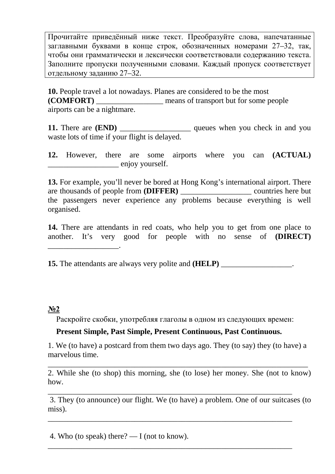Прочитайте приведённый ниже текст. Преобразуйте слова, напечатанные заглавными буквами в конце строк, обозначенных номерами 27-32, так, чтобы они грамматически и лексически соответствовали содержанию текста. Заполните пропуски полученными словами. Каждый пропуск соответствует отдельному заданию 27-32.

10. People travel a lot nowadays. Planes are considered to be the most **(COMFORT)** means of transport but for some people airports can be a nightmare.

11. There are (END) \_\_\_\_\_\_\_\_\_\_\_\_\_\_\_\_\_\_\_\_\_\_\_\_ queues when you check in and you waste lots of time if your flight is delayed.

are some airports where you can (ACTUAL) 12. However, there enjoy yourself.

13. For example, you'll never be bored at Hong Kong's international airport. There are thousands of people from (DIFFER) \_\_\_\_\_\_\_\_\_\_\_\_\_\_\_\_\_\_\_\_\_\_ countries here but the passengers never experience any problems because everything is well organised.

14. There are attendants in red coats, who help you to get from one place to another. It's very good for people with no sense of (DIRECT)

**15.** The attendants are always very polite and (**HELP**) \_\_\_\_\_\_\_\_\_\_\_\_\_\_\_\_\_\_\_\_\_\_.

### $N<sub>2</sub>$

Раскройте скобки, употребляя глаголы в одном из следующих времен:

### Present Simple, Past Simple, Present Continuous, Past Continuous.

1. We (to have) a postcard from them two days ago. They (to say) they (to have) a marvelous time.

2. While she (to shop) this morning, she (to lose) her money. She (not to know) how.

3. They (to announce) our flight. We (to have) a problem. One of our suitcases (to miss).

4. Who (to speak) there?  $\overline{\phantom{0}}$  = I (not to know).